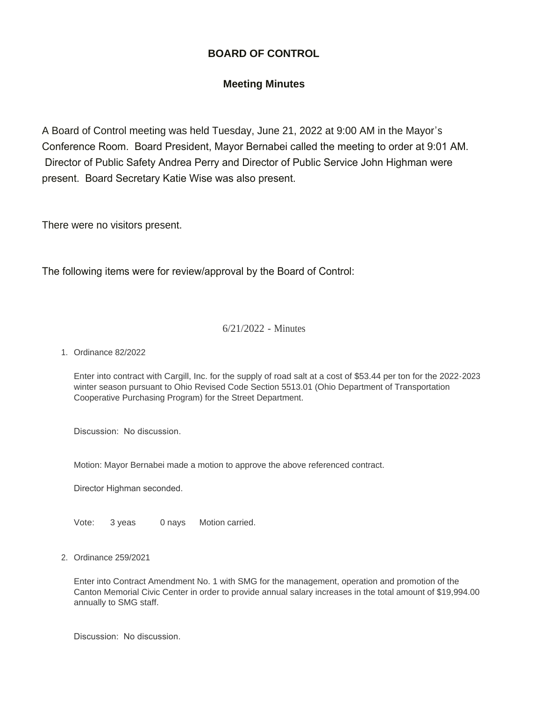## **BOARD OF CONTROL**

## **Meeting Minutes**

A Board of Control meeting was held Tuesday, June 21, 2022 at 9:00 AM in the Mayor's Conference Room. Board President, Mayor Bernabei called the meeting to order at 9:01 AM. Director of Public Safety Andrea Perry and Director of Public Service John Highman were present. Board Secretary Katie Wise was also present.

There were no visitors present.

The following items were for review/approval by the Board of Control:

## 6/21/2022 - Minutes

Ordinance 82/2022 1.

Enter into contract with Cargill, Inc. for the supply of road salt at a cost of \$53.44 per ton for the 2022-2023 winter season pursuant to Ohio Revised Code Section 5513.01 (Ohio Department of Transportation Cooperative Purchasing Program) for the Street Department.

Discussion: No discussion.

Motion: Mayor Bernabei made a motion to approve the above referenced contract.

Director Highman seconded.

Vote: 3 yeas 0 nays Motion carried.

Ordinance 259/2021 2.

Enter into Contract Amendment No. 1 with SMG for the management, operation and promotion of the Canton Memorial Civic Center in order to provide annual salary increases in the total amount of \$19,994.00 annually to SMG staff.

Discussion: No discussion.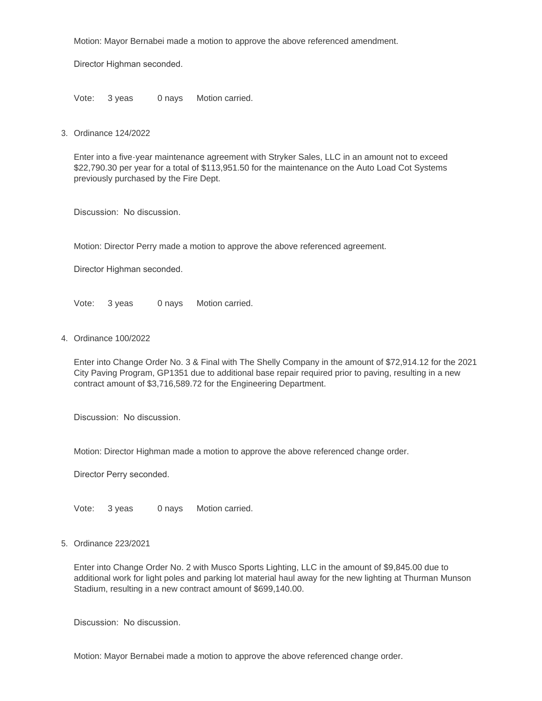Motion: Mayor Bernabei made a motion to approve the above referenced amendment.

Director Highman seconded.

Vote: 3 yeas 0 nays Motion carried.

Ordinance 124/2022 3.

Enter into a five-year maintenance agreement with Stryker Sales, LLC in an amount not to exceed \$22,790.30 per year for a total of \$113,951.50 for the maintenance on the Auto Load Cot Systems previously purchased by the Fire Dept.

Discussion: No discussion.

Motion: Director Perry made a motion to approve the above referenced agreement.

Director Highman seconded.

Vote: 3 yeas 0 nays Motion carried.

Ordinance 100/2022 4.

Enter into Change Order No. 3 & Final with The Shelly Company in the amount of \$72,914.12 for the 2021 City Paving Program, GP1351 due to additional base repair required prior to paving, resulting in a new contract amount of \$3,716,589.72 for the Engineering Department.

Discussion: No discussion.

Motion: Director Highman made a motion to approve the above referenced change order.

Director Perry seconded.

Vote: 3 yeas 0 nays Motion carried.

## Ordinance 223/2021 5.

Enter into Change Order No. 2 with Musco Sports Lighting, LLC in the amount of \$9,845.00 due to additional work for light poles and parking lot material haul away for the new lighting at Thurman Munson Stadium, resulting in a new contract amount of \$699,140.00.

Discussion: No discussion.

Motion: Mayor Bernabei made a motion to approve the above referenced change order.